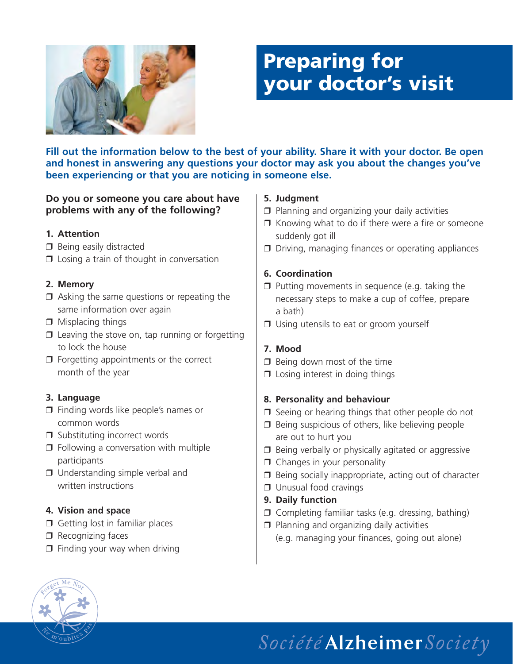

## **Preparing for your doctor's visit**

**Fill out the information below to the best of your ability. Share it with your doctor. Be open and honest in answering any questions your doctor may ask you about the changes you've been experiencing or that you are noticing in someone else.**

#### **Do you or someone you care about have problems with any of the following?**

#### **1. Attention**

- ❒ Being easily distracted
- ❒ Losing a train of thought in conversation

#### **2. Memory**

- $\Box$  Asking the same questions or repeating the same information over again
- ❒ Misplacing things
- $\Box$  Leaving the stove on, tap running or forgetting to lock the house
- ❒ Forgetting appointments or the correct month of the year

#### **3. Language**

- ❒ Finding words like people's names or common words
- ❒ Substituting incorrect words
- ❒ Following a conversation with multiple participants
- ❒ Understanding simple verbal and written instructions

#### **4. Vision and space**

- ❒ Getting lost in familiar places
- ❒ Recognizing faces
- $\Box$  Finding your way when driving

#### **5. Judgment**

- ❒ Planning and organizing your daily activities
- ❒ Knowing what to do if there were a fire or someone suddenly got ill
- ❒ Driving, managing finances or operating appliances

#### **6. Coordination**

- ❒ Putting movements in sequence (e.g. taking the necessary steps to make a cup of coffee, prepare a bath)
- ❒ Using utensils to eat or groom yourself

#### **7. Mood**

- $\n **Deina down most of the time**\n$
- ❒ Losing interest in doing things

#### **8. Personality and behaviour**

- ❒ Seeing or hearing things that other people do not
- ❒ Being suspicious of others, like believing people are out to hurt you
- ❒ Being verbally or physically agitated or aggressive
- ❒ Changes in your personality
- ❒ Being socially inappropriate, acting out of character
- ❒ Unusual food cravings
- **9. Daily function**
- ❒ Completing familiar tasks (e.g. dressing, bathing)
- ❒ Planning and organizing daily activities (e.g. managing your finances, going out alone)



# Société Alzheimer Society